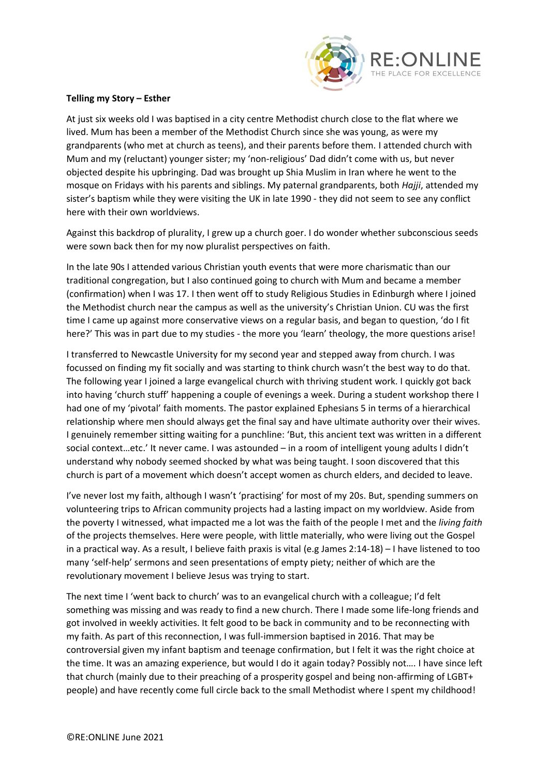

## **Telling my Story – Esther**

At just six weeks old I was baptised in a city centre Methodist church close to the flat where we lived. Mum has been a member of the Methodist Church since she was young, as were my grandparents (who met at church as teens), and their parents before them. I attended church with Mum and my (reluctant) younger sister; my 'non-religious' Dad didn't come with us, but never objected despite his upbringing. Dad was brought up Shia Muslim in Iran where he went to the mosque on Fridays with his parents and siblings. My paternal grandparents, both *Hajji*, attended my sister's baptism while they were visiting the UK in late 1990 - they did not seem to see any conflict here with their own worldviews.

Against this backdrop of plurality, I grew up a church goer. I do wonder whether subconscious seeds were sown back then for my now pluralist perspectives on faith.

In the late 90s I attended various Christian youth events that were more charismatic than our traditional congregation, but I also continued going to church with Mum and became a member (confirmation) when I was 17. I then went off to study Religious Studies in Edinburgh where I joined the Methodist church near the campus as well as the university's Christian Union. CU was the first time I came up against more conservative views on a regular basis, and began to question, 'do I fit here?' This was in part due to my studies - the more you 'learn' theology, the more questions arise!

I transferred to Newcastle University for my second year and stepped away from church. I was focussed on finding my fit socially and was starting to think church wasn't the best way to do that. The following year I joined a large evangelical church with thriving student work. I quickly got back into having 'church stuff' happening a couple of evenings a week. During a student workshop there I had one of my 'pivotal' faith moments. The pastor explained Ephesians 5 in terms of a hierarchical relationship where men should always get the final say and have ultimate authority over their wives. I genuinely remember sitting waiting for a punchline: 'But, this ancient text was written in a different social context…etc.' It never came. I was astounded – in a room of intelligent young adults I didn't understand why nobody seemed shocked by what was being taught. I soon discovered that this church is part of a movement which doesn't accept women as church elders, and decided to leave.

I've never lost my faith, although I wasn't 'practising' for most of my 20s. But, spending summers on volunteering trips to African community projects had a lasting impact on my worldview. Aside from the poverty I witnessed, what impacted me a lot was the faith of the people I met and the *living faith* of the projects themselves. Here were people, with little materially, who were living out the Gospel in a practical way. As a result, I believe faith praxis is vital (e.g James 2:14-18) – I have listened to too many 'self-help' sermons and seen presentations of empty piety; neither of which are the revolutionary movement I believe Jesus was trying to start.

The next time I 'went back to church' was to an evangelical church with a colleague; I'd felt something was missing and was ready to find a new church. There I made some life-long friends and got involved in weekly activities. It felt good to be back in community and to be reconnecting with my faith. As part of this reconnection, I was full-immersion baptised in 2016. That may be controversial given my infant baptism and teenage confirmation, but I felt it was the right choice at the time. It was an amazing experience, but would I do it again today? Possibly not…. I have since left that church (mainly due to their preaching of a prosperity gospel and being non-affirming of LGBT+ people) and have recently come full circle back to the small Methodist where I spent my childhood!